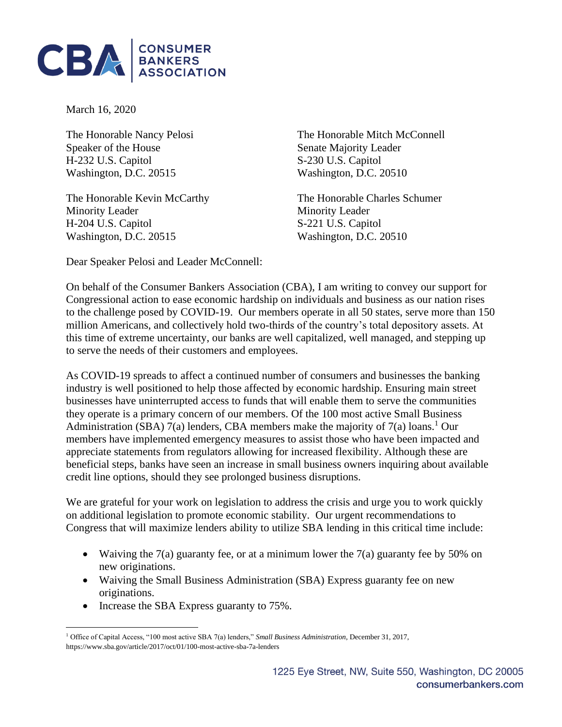

March 16, 2020

The Honorable Nancy Pelosi Speaker of the House H-232 U.S. Capitol S-230 U.S. Capitol Washington, D.C. 20515 Washington, D.C. 20510

The Honorable Kevin McCarthy The Honorable Charles Schumer Minority Leader Minority Leader H-204 U.S. Capitol S-221 U.S. Capitol Washington, D.C. 20515 Washington, D.C. 20510

The Honorable Mitch McConnell Senate Majority Leader

Dear Speaker Pelosi and Leader McConnell:

On behalf of the Consumer Bankers Association (CBA), I am writing to convey our support for Congressional action to ease economic hardship on individuals and business as our nation rises to the challenge posed by COVID-19. Our members operate in all 50 states, serve more than 150 million Americans, and collectively hold two-thirds of the country's total depository assets. At this time of extreme uncertainty, our banks are well capitalized, well managed, and stepping up to serve the needs of their customers and employees.

As COVID-19 spreads to affect a continued number of consumers and businesses the banking industry is well positioned to help those affected by economic hardship. Ensuring main street businesses have uninterrupted access to funds that will enable them to serve the communities they operate is a primary concern of our members. Of the 100 most active Small Business Administration (SBA) 7(a) lenders, CBA members make the majority of 7(a) loans.<sup>1</sup> Our members have implemented emergency measures to assist those who have been impacted and appreciate statements from regulators allowing for increased flexibility. Although these are beneficial steps, banks have seen an increase in small business owners inquiring about available credit line options, should they see prolonged business disruptions.

We are grateful for your work on legislation to address the crisis and urge you to work quickly on additional legislation to promote economic stability. Our urgent recommendations to Congress that will maximize lenders ability to utilize SBA lending in this critical time include:

- Waiving the  $7(a)$  guaranty fee, or at a minimum lower the  $7(a)$  guaranty fee by 50% on new originations.
- Waiving the Small Business Administration (SBA) Express guaranty fee on new originations.
- Increase the SBA Express guaranty to 75%.

<sup>1</sup> Office of Capital Access, "100 most active SBA 7(a) lenders," *Small Business Administration*, December 31, 2017, https://www.sba.gov/article/2017/oct/01/100-most-active-sba-7a-lenders